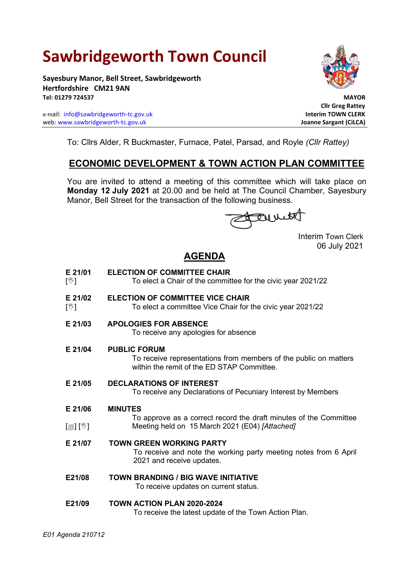# **Sawbridgeworth Town Council**

**Sayesbury Manor, Bell Street, Sawbridgeworth Hertfordshire CM21 9AN Tel: 01279 724537 MAYOR**

e-mail: [info@sawbridgeworth-tc.gov.uk](mailto:info@sawbridgeworth-tc.gov.uk) **Interim TOWN CLERK** web: www.sawbridgeworth-tc.gov.uk<br> **Joanne Sargant (CiLCA)** 



 **Cllr Greg Rattey**

To: Cllrs Alder, R Buckmaster, Furnace, Patel, Parsad, and Royle *(Cllr Rattey)*

# **ECONOMIC DEVELOPMENT & TOWN ACTION PLAN COMMITTEE**

You are invited to attend a meeting of this committee which will take place on **Monday 12 July 2021** at 20.00 and be held at The Council Chamber, Sayesbury Manor, Bell Street for the transaction of the following business.

Fermit

Interim Town Clerk 06 July 2021

## **AGENDA**

- **E 21/01**  $\sqrt{\mathbb{W}}$ **ELECTION OF COMMITTEE CHAIR** To elect a Chair of the committee for the civic year 2021/22 **E 21/02 ELECTION OF COMMITTEE VICE CHAIR**
- $\mathbb{I}\mathbb{Y}$ To elect a committee Vice Chair for the civic year 2021/22
- **E 21/03 APOLOGIES FOR ABSENCE**

To receive any apologies for absence

**E 21/04 PUBLIC FORUM**

To receive representations from members of the public on matters within the remit of the ED STAP Committee.

**E 21/05 DECLARATIONS OF INTEREST**

To receive any Declarations of Pecuniary Interest by Members

- **E 21/06 MINUTES**
- $\lceil$  [ $\parallel$   $\parallel$   $\parallel$   $\parallel$   $\parallel$ To approve as a correct record the draft minutes of the Committee Meeting held on 15 March 2021 (E04) *[Attached]*
- **E 21/07 TOWN GREEN WORKING PARTY**

To receive and note the working party meeting notes from 6 April 2021 and receive updates.

**E21/08 TOWN BRANDING / BIG WAVE INITIATIVE**

To receive updates on current status.

## **E21/09 TOWN ACTION PLAN 2020-2024**

To receive the latest update of the Town Action Plan.